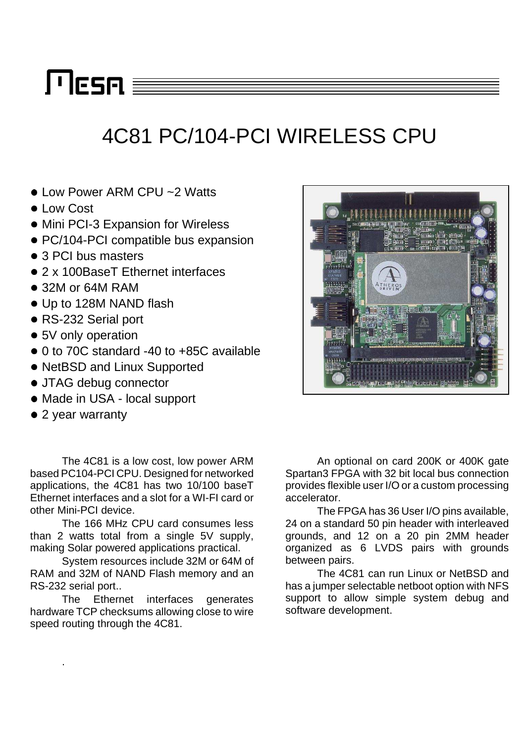# $\Gamma$ lesn $\equiv$

## 4C81 PC/104-PCI WIRELESS CPU

- Low Power ARM CPU ~2 Watts
- **Low Cost**
- Mini PCI-3 Expansion for Wireless
- PC/104-PCI compatible bus expansion
- 3 PCI bus masters
- 2 x 100BaseT Ethernet interfaces
- 32M or 64M RAM
- Up to 128M NAND flash
- RS-232 Serial port
- 5V only operation
- 0 to 70C standard -40 to +85C available
- NetBSD and Linux Supported
- JTAG debug connector
- Made in USA local support
- 2 year warranty

.

The 4C81 is a low cost, low power ARM based PC104-PCI CPU. Designed for networked applications, the 4C81 has two 10/100 baseT Ethernet interfaces and a slot for a WI-FI card or other Mini-PCI device.

The 166 MHz CPU card consumes less than 2 watts total from a single 5V supply, making Solar powered applications practical.

System resources include 32M or 64M of RAM and 32M of NAND Flash memory and an RS-232 serial port..

The Ethernet interfaces generates hardware TCP checksums allowing close to wire speed routing through the 4C81.

An optional on card 200K or 400K gate Spartan3 FPGA with 32 bit local bus connection provides flexible user I/O or a custom processing accelerator.

The FPGA has 36 User I/O pins available, 24 on a standard 50 pin header with interleaved grounds, and 12 on a 20 pin 2MM header organized as 6 LVDS pairs with grounds between pairs.

The 4C81 can run Linux or NetBSD and has a jumper selectable netboot option with NFS support to allow simple system debug and software development.